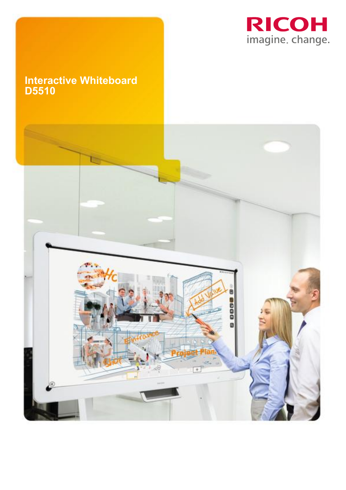

# **Interactive Whiteboard D5510**

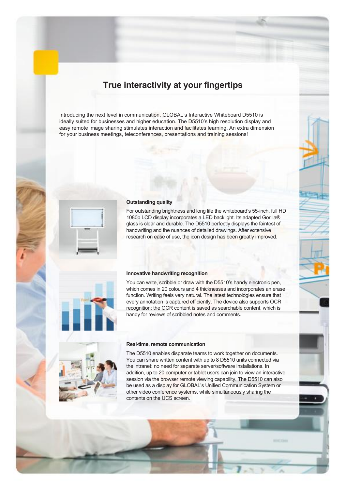# **True interactivity at your fingertips**

Introducing the next level in communication, GLOBAL's Interactive Whiteboard D5510 is ideally suited for businesses and higher education. The D5510's high resolution display and easy remote image sharing stimulates interaction and facilitates learning. An extra dimension for your business meetings, teleconferences, presentations and training sessions!



### **Outstanding quality**

For outstanding brightness and long life the whiteboard's 55-inch, full HD 1080p LCD display incorporates a LED backlight. Its adapted Gorilla® glass is clear and durable. The D5510 perfectly displays the faintest of handwriting and the nuances of detailed drawings. After extensive research on ease of use, the icon design has been greatly improved.



## **Innovative handwriting recognition**

You can write, scribble or draw with the D5510's handy electronic pen, which comes in 20 colours and 4 thicknesses and incorporates an erase function. Writing feels very natural. The latest technologies ensure that every annotation is captured efficiently. The device also supports OCR recognition: the OCR content is saved as searchable content, which is handy for reviews of scribbled notes and comments.



#### **Real-time, remote communication**

The D5510 enables disparate teams to work together on documents. You can share written content with up to 8 D5510 units connected via the intranet: no need for separate server/software installations. In addition, up to 20 computer or tablet users can join to view an interactive session via the browser remote viewing capability. The D5510 can also be used as a display for GLOBAL's Unified Communication System or other video conference systems, while simultaneously sharing the contents on the UCS screen.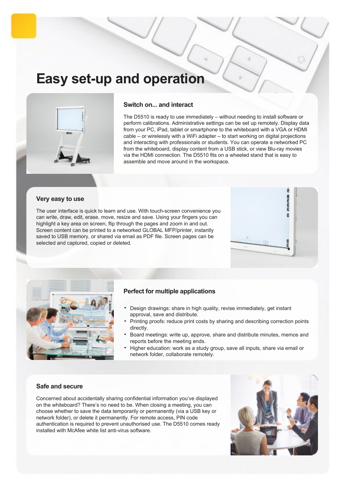# **Easy set-up and operation**



# **Switch on... and interact**

The D5510 is ready to use immediately – without needing to install software or perform calibrations. Administrative settings can be set up remotely. Display data from your PC, iPad, tablet or smartphone to the whiteboard with a VGA or HDMI cable – or wirelessly with a WiFi adapter – to start working on digital projections and interacting with professionals or students. You can operate a networked PC from the whiteboard, display content from a USB stick, or view Blu-ray movies via the HDMI connection. The D5510 fits on a wheeled stand that is easy to assemble and move around in the workspace.

# **Very easy to use**

The user interface is quick to learn and use. With touch-screen convenience you can write, draw, edit, erase, move, resize and save. Using your fingers you can highlight a key area on screen, flip through the pages and zoom in and out. Screen content can be printed to a networked GLOBAL MFP/printer, instantly saved to USB memory, or shared via email as PDF file. Screen pages can be selected and captured, copied or deleted.





# **Perfect for multiple applications**

- Design drawings: share in high quality, revise immediately, get instant approval, save and distribute.
- Printing proofs: reduce print costs by sharing and describing correction points directly.
- Board meetings: write up, approve, share and distribute minutes, memos and reports before the meeting ends.
- Higher education: work as a study group, save all inputs, share via email or network folder, collaborate remotely.

## **Safe and secure**

Concerned about accidentally sharing confidential information you've displayed on the whiteboard? There's no need to be. When closing a meeting, you can choose whether to save the data temporarily or permanently (via a USB key or network folder), or delete it permanently. For remote access, PIN code authentication is required to prevent unauthorised use. The D5510 comes ready installed with McAfee white list anti-virus software.